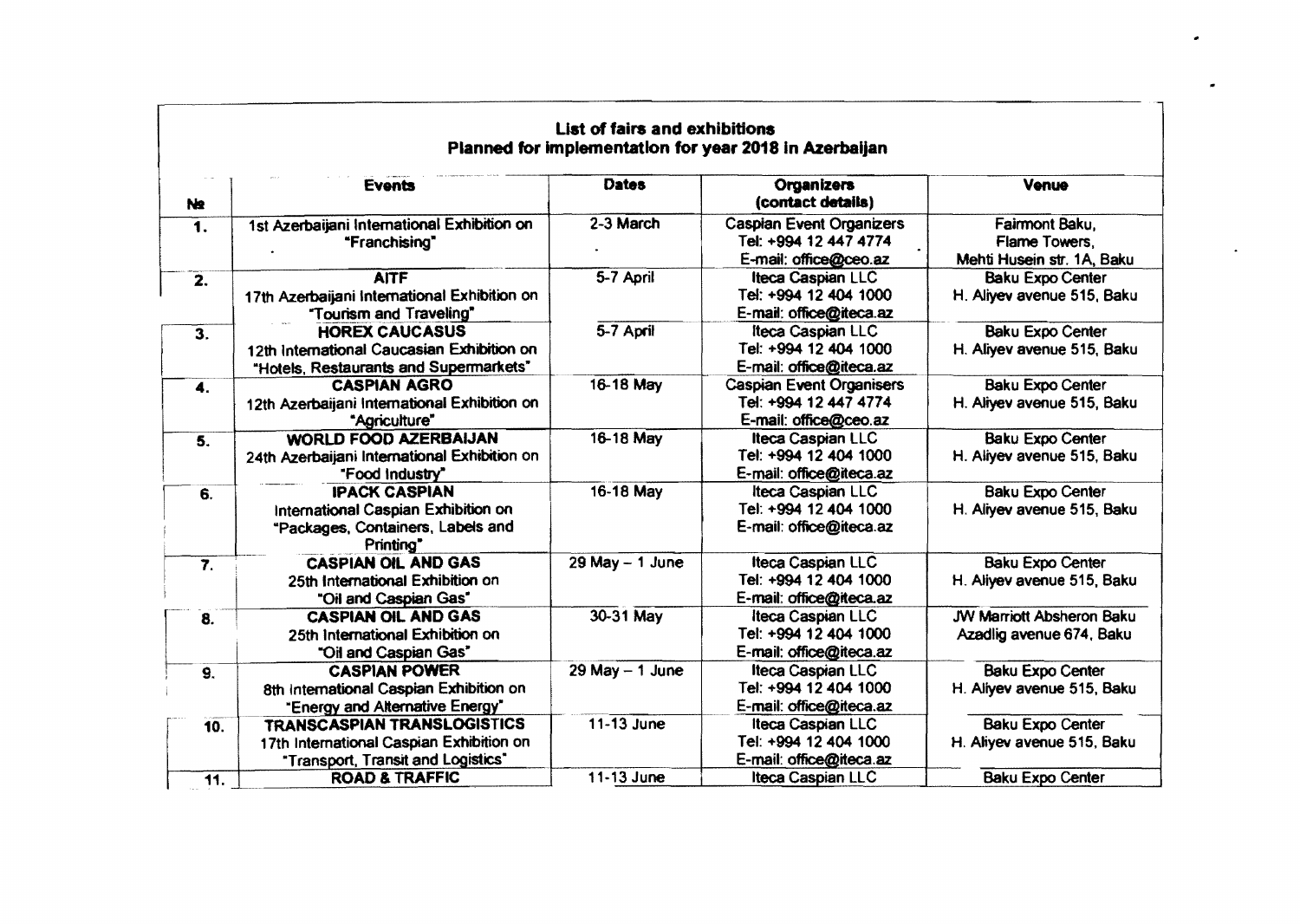| List of fairs and exhibitions<br>Planned for implementation for year 2018 in Azerbaijan |                                                                                                                      |                     |                                                                                   |                                                               |  |  |
|-----------------------------------------------------------------------------------------|----------------------------------------------------------------------------------------------------------------------|---------------------|-----------------------------------------------------------------------------------|---------------------------------------------------------------|--|--|
| N2                                                                                      | <b>Events</b>                                                                                                        | <b>Dates</b>        | Organizers<br>(contact details)                                                   | Venue                                                         |  |  |
| $\mathbf 1$ .                                                                           | 1st Azerbaijani International Exhibition on<br>"Franchising"                                                         | 2-3 March           | <b>Caspian Event Organizers</b><br>Tel: +994 12 447 4774<br>E-mail: office@ceo.az | Fairmont Baku,<br>Flame Towers,<br>Mehti Husein str. 1A, Baku |  |  |
| $\overline{2}$ .                                                                        | <b>AITF</b><br>17th Azerbaijani International Exhibition on<br>"Tourism and Traveling"                               | 5-7 April           | Iteca Caspian LLC<br>Tel: +994 12 404 1000<br>E-mail: office@iteca.az             | <b>Baku Expo Center</b><br>H. Aliyev avenue 515, Baku         |  |  |
| 3.                                                                                      | <b>HOREX CAUCASUS</b><br>12th International Caucasian Exhibition on<br>"Hotels, Restaurants and Supermarkets"        | 5-7 April           | Iteca Caspian LLC<br>Tel: +994 12 404 1000<br>E-mail: office@iteca.az             | <b>Baku Expo Center</b><br>H. Aliyev avenue 515, Baku         |  |  |
| 4.                                                                                      | <b>CASPIAN AGRO</b><br>12th Azerbaijani International Exhibition on<br>"Agriculture"                                 | 16-18 May           | <b>Caspian Event Organisers</b><br>Tel: +994 12 447 4774<br>E-mail: office@ceo.az | <b>Baku Expo Center</b><br>H. Aliyev avenue 515, Baku         |  |  |
| 5.                                                                                      | <b>WORLD FOOD AZERBAIJAN</b><br>24th Azerbaijani International Exhibition on<br>"Food Industry"                      | 16-18 May           | Iteca Caspian LLC<br>Tel: +994 12 404 1000<br>E-mail: office@iteca.az             | <b>Baku Expo Center</b><br>H. Aliyev avenue 515, Baku         |  |  |
| 6.                                                                                      | <b>IPACK CASPIAN</b><br>International Caspian Exhibition on<br>"Packages, Containers, Labels and<br>Printing"        | 16-18 May           | Iteca Caspian LLC<br>Tel: +994 12 404 1000<br>E-mail: office@iteca.az             | <b>Baku Expo Center</b><br>H. Aliyev avenue 515, Baku         |  |  |
| $\overline{7}$ .                                                                        | <b>CASPIAN OIL AND GAS</b><br>25th International Exhibition on<br>"Oil and Caspian Gas"                              | $29$ May $-$ 1 June | <b>Iteca Caspian LLC</b><br>Tel: +994 12 404 1000<br>E-mail: office@iteca.az      | <b>Baku Expo Center</b><br>H. Aliyev avenue 515, Baku         |  |  |
| 8.                                                                                      | <b>CASPIAN OIL AND GAS</b><br>25th International Exhibition on<br>"Oil and Caspian Gas"                              | 30-31 May           | Iteca Caspian LLC<br>Tel: +994 12 404 1000<br>E-mail: office@iteca.az             | <b>JW Marriott Absheron Baku</b><br>Azadlig avenue 674, Baku  |  |  |
| 9.                                                                                      | <b>CASPIAN POWER</b><br>8th International Caspian Exhibition on<br>"Energy and Alternative Energy"                   | $29$ May $-1$ June  | <b>Iteca Caspian LLC</b><br>Tel: +994 12 404 1000<br>E-mail: office@iteca.az      | <b>Baku Expo Center</b><br>H. Aliyev avenue 515, Baku         |  |  |
| 10.                                                                                     | <b>TRANSCASPIAN TRANSLOGISTICS</b><br>17th International Caspian Exhibition on<br>"Transport, Transit and Logistics" | 11-13 June          | Iteca Caspian LLC<br>Tel: +994 12 404 1000<br>E-mail: office@iteca.az             | <b>Baku Expo Center</b><br>H. Aliyev avenue 515, Baku         |  |  |
| 11.                                                                                     | <b>ROAD &amp; TRAFFIC</b>                                                                                            | 11-13 June          | Iteca Caspian LLC                                                                 | <b>Baku Expo Center</b>                                       |  |  |

-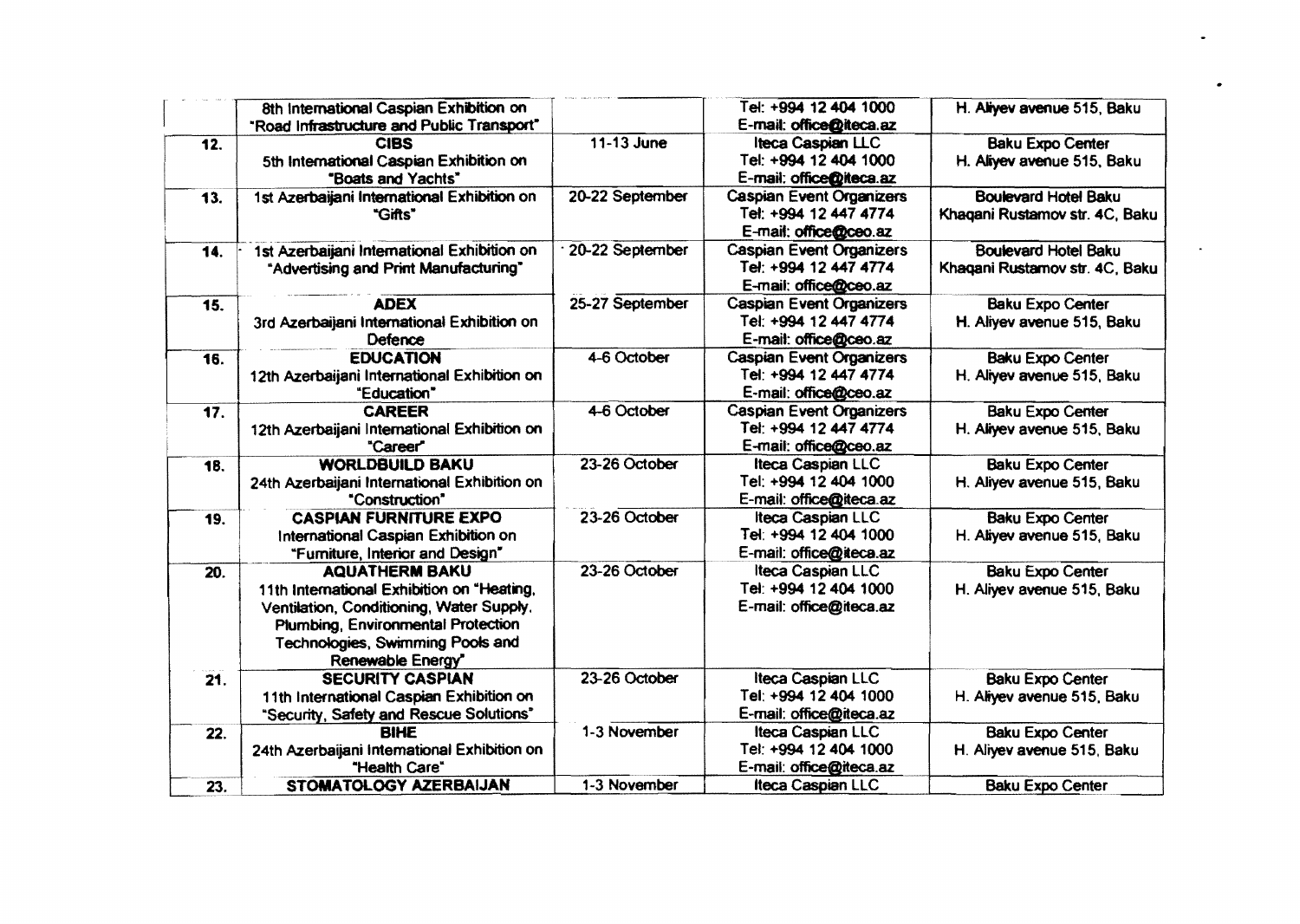|                   | 8th International Caspian Exhibition on<br>"Road Infrastructure and Public Transport"                                                                                                                          |                 | Tel: +994 12 404 1000<br>E-mail: office@iteca.az                                  | H. Aliyev avenue 515, Baku                                    |
|-------------------|----------------------------------------------------------------------------------------------------------------------------------------------------------------------------------------------------------------|-----------------|-----------------------------------------------------------------------------------|---------------------------------------------------------------|
| 12.               | <b>CIBS</b><br>5th International Caspian Exhibition on<br>"Boats and Yachts"                                                                                                                                   | 11-13 June      | <b>Iteca Caspian LLC</b><br>Tel: +994 12 404 1000<br>E-mail: office@iteca.az      | <b>Baku Expo Center</b><br>H. Aliyev avenue 515, Baku         |
| 13.               | 1st Azerbaijani International Exhibition on<br>"Gifts"                                                                                                                                                         | 20-22 September | <b>Caspian Event Organizers</b><br>Tel: +994 12 447 4774<br>E-mail: office@ceo.az | <b>Boulevard Hotel Baku</b><br>Khaqani Rustamov str. 4C, Baku |
| 14.               | 1st Azerbaijani International Exhibition on<br>"Advertising and Print Manufacturing"                                                                                                                           | 20-22 September | <b>Caspian Event Organizers</b><br>Tel: +994 12 447 4774<br>E-mail: office@ceo.az | <b>Boulevard Hotel Baku</b><br>Khaqani Rustamov str. 4C, Baku |
| 15.               | <b>ADEX</b><br>3rd Azerbaijani International Exhibition on<br>Defence                                                                                                                                          | 25-27 September | <b>Caspian Event Organizers</b><br>Tel: +994 12 447 4774<br>E-mail: office@ceo.az | <b>Baku Expo Center</b><br>H. Aliyev avenue 515, Baku         |
| 16.               | <b>EDUCATION</b><br>12th Azerbaijani International Exhibition on<br>"Education"                                                                                                                                | 4-6 October     | <b>Caspian Event Organizers</b><br>Tel: +994 12 447 4774<br>E-mail: office@ceo.az | <b>Baku Expo Center</b><br>H. Aliyev avenue 515, Baku         |
| $\overline{17}$ . | <b>CAREER</b><br>12th Azerbaijani International Exhibition on<br>"Career"                                                                                                                                      | 4-6 October     | <b>Caspian Event Organizers</b><br>Tel: +994 12 447 4774<br>E-mail: office@ceo.az | <b>Baku Expo Center</b><br>H. Aliyev avenue 515, Baku         |
| 18.               | <b>WORLDBUILD BAKU</b><br>24th Azerbaijani International Exhibition on<br>"Construction"                                                                                                                       | 23-26 October   | <b>Iteca Caspian LLC</b><br>Tel: +994 12 404 1000<br>E-mail: office@iteca.az      | <b>Baku Expo Center</b><br>H. Aliyev avenue 515, Baku         |
| 19.               | <b>CASPIAN FURNITURE EXPO</b><br>International Caspian Exhibition on<br>"Furniture, Interior and Design"                                                                                                       | 23-26 October   | Iteca Caspian LLC<br>Tel: +994 12 404 1000<br>E-mail: office@iteca.az             | <b>Baku Expo Center</b><br>H. Aliyev avenue 515, Baku         |
| 20.               | <b>AQUATHERM BAKU</b><br>11th International Exhibition on "Heating,<br>Ventilation, Conditioning, Water Supply.<br>Plumbing, Environmental Protection<br>Technologies, Swimming Pools and<br>Renewable Energy* | 23-26 October   | Iteca Caspian LLC<br>Tel: +994 12 404 1000<br>E-mail: office@iteca.az             | <b>Baku Expo Center</b><br>H. Aliyev avenue 515, Baku         |
| 21.               | <b>SECURITY CASPIAN</b><br>11th International Caspian Exhibition on<br>"Security, Safety and Rescue Solutions"                                                                                                 | 23-26 October   | Iteca Caspian LLC<br>Tel: +994 12 404 1000<br>E-mail: office@iteca.az             | <b>Baku Expo Center</b><br>H. Aliyev avenue 515, Baku         |
| 22.               | <b>BIHE</b><br>24th Azerbaijani International Exhibition on<br>"Health Care"                                                                                                                                   | 1-3 November    | <b>Iteca Caspian LLC</b><br>Tel: +994 12 404 1000<br>E-mail: office@iteca.az      | <b>Baku Expo Center</b><br>H. Aliyev avenue 515, Baku         |
| 23.               | STOMATOLOGY AZERBAIJAN                                                                                                                                                                                         | 1-3 November    | <b>Iteca Caspian LLC</b>                                                          | <b>Baku Expo Center</b>                                       |

 $\bullet$ 

 $\mathbf{x} \in \mathbb{R}^{n \times n}$